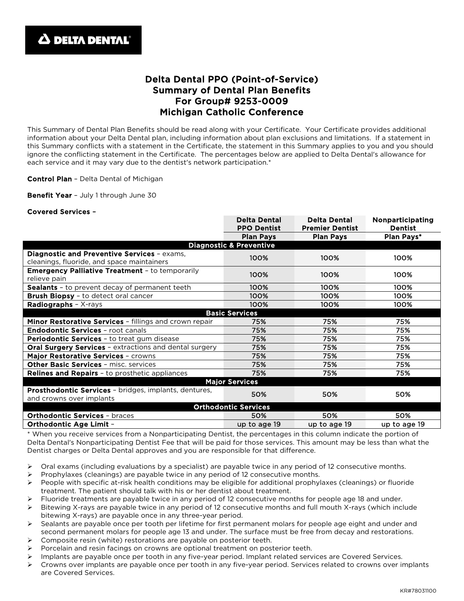

## Delta Dental PPO (Point-of-Service) Summary of Dental Plan Benefits For Group# 9253-0009 Michigan Catholic Conference

This Summary of Dental Plan Benefits should be read along with your Certificate. Your Certificate provides additional information about your Delta Dental plan, including information about plan exclusions and limitations. If a statement in this Summary conflicts with a statement in the Certificate, the statement in this Summary applies to you and you should ignore the conflicting statement in the Certificate. The percentages below are applied to Delta Dental's allowance for each service and it may vary due to the dentist's network participation.\*

## Control Plan – Delta Dental of Michigan

Benefit Year - July 1 through June 30

## Covered Services –

|                                                                                           | <b>Delta Dental</b><br><b>PPO Dentist</b> | <b>Delta Dental</b><br><b>Premier Dentist</b> | Nonparticipating<br><b>Dentist</b> |
|-------------------------------------------------------------------------------------------|-------------------------------------------|-----------------------------------------------|------------------------------------|
|                                                                                           | <b>Plan Pays</b>                          | <b>Plan Pays</b>                              | <b>Plan Pays*</b>                  |
| <b>Diagnostic &amp; Preventive</b>                                                        |                                           |                                               |                                    |
| Diagnostic and Preventive Services - exams,<br>cleanings, fluoride, and space maintainers | 100%                                      | 100%                                          | 100%                               |
| <b>Emergency Palliative Treatment - to temporarily</b><br>relieve pain                    | 100%                                      | 100%                                          | 100%                               |
| <b>Sealants</b> - to prevent decay of permanent teeth                                     | 100%                                      | 100%                                          | 100%                               |
| <b>Brush Biopsy - to detect oral cancer</b>                                               | 100%                                      | 100%                                          | 100%                               |
| Radiographs - X-rays                                                                      | 100%                                      | 100%                                          | 100%                               |
| <b>Basic Services</b>                                                                     |                                           |                                               |                                    |
| Minor Restorative Services - fillings and crown repair                                    | 75%                                       | 75%                                           | 75%                                |
| <b>Endodontic Services - root canals</b>                                                  | 75%                                       | 75%                                           | 75%                                |
| <b>Periodontic Services - to treat gum disease</b>                                        | 75%                                       | 75%                                           | 75%                                |
| <b>Oral Surgery Services - extractions and dental surgery</b>                             | 75%                                       | 75%                                           | 75%                                |
| Major Restorative Services - crowns                                                       | 75%                                       | 75%                                           | 75%                                |
| <b>Other Basic Services - misc. services</b>                                              | 75%                                       | 75%                                           | 75%                                |
| <b>Relines and Repairs - to prosthetic appliances</b>                                     | 75%                                       | 75%                                           | 75%                                |
| <b>Major Services</b>                                                                     |                                           |                                               |                                    |
| Prosthodontic Services - bridges, implants, dentures,<br>and crowns over implants         | 50%                                       | 50%                                           | 50%                                |
| <b>Orthodontic Services</b>                                                               |                                           |                                               |                                    |
| <b>Orthodontic Services - braces</b>                                                      | 50%                                       | 50%                                           | 50%                                |
| <b>Orthodontic Age Limit -</b>                                                            | up to age 19                              | up to age 19                                  | up to age 19                       |

\* When you receive services from a Nonparticipating Dentist, the percentages in this column indicate the portion of Delta Dental's Nonparticipating Dentist Fee that will be paid for those services. This amount may be less than what the Dentist charges or Delta Dental approves and you are responsible for that difference.

- $\triangleright$  Oral exams (including evaluations by a specialist) are payable twice in any period of 12 consecutive months.
- $\triangleright$  Prophylaxes (cleanings) are payable twice in any period of 12 consecutive months.
- $\triangleright$  People with specific at-risk health conditions may be eligible for additional prophylaxes (cleanings) or fluoride treatment. The patient should talk with his or her dentist about treatment.
- Fluoride treatments are payable twice in any period of 12 consecutive months for people age 18 and under.
- $\triangleright$  Bitewing X-rays are payable twice in any period of 12 consecutive months and full mouth X-rays (which include bitewing X-rays) are payable once in any three-year period.
- $\triangleright$  Sealants are payable once per tooth per lifetime for first permanent molars for people age eight and under and second permanent molars for people age 13 and under. The surface must be free from decay and restorations.
- Composite resin (white) restorations are payable on posterior teeth.
- Porcelain and resin facings on crowns are optional treatment on posterior teeth.
- Implants are payable once per tooth in any five-year period. Implant related services are Covered Services.
- $\triangleright$  Crowns over implants are payable once per tooth in any five-year period. Services related to crowns over implants are Covered Services.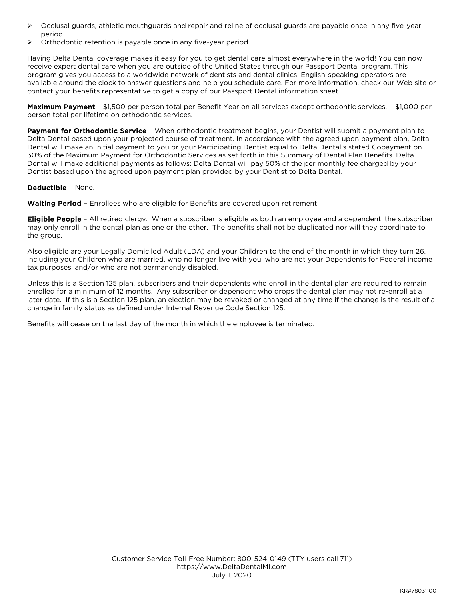- $\triangleright$  Occlusal guards, athletic mouthguards and repair and reline of occlusal guards are payable once in any five-year period.
- Orthodontic retention is payable once in any five-year period.

Having Delta Dental coverage makes it easy for you to get dental care almost everywhere in the world! You can now receive expert dental care when you are outside of the United States through our Passport Dental program. This program gives you access to a worldwide network of dentists and dental clinics. English-speaking operators are available around the clock to answer questions and help you schedule care. For more information, check our Web site or contact your benefits representative to get a copy of our Passport Dental information sheet.

Maximum Payment - \$1,500 per person total per Benefit Year on all services except orthodontic services. \$1,000 per person total per lifetime on orthodontic services.

Payment for Orthodontic Service - When orthodontic treatment begins, your Dentist will submit a payment plan to Delta Dental based upon your projected course of treatment. In accordance with the agreed upon payment plan, Delta Dental will make an initial payment to you or your Participating Dentist equal to Delta Dental's stated Copayment on 30% of the Maximum Payment for Orthodontic Services as set forth in this Summary of Dental Plan Benefits. Delta Dental will make additional payments as follows: Delta Dental will pay 50% of the per monthly fee charged by your Dentist based upon the agreed upon payment plan provided by your Dentist to Delta Dental.

## Deductible – None.

Waiting Period - Enrollees who are eligible for Benefits are covered upon retirement.

**Eligible People** - All retired clergy. When a subscriber is eligible as both an employee and a dependent, the subscriber may only enroll in the dental plan as one or the other. The benefits shall not be duplicated nor will they coordinate to the group.

Also eligible are your Legally Domiciled Adult (LDA) and your Children to the end of the month in which they turn 26, including your Children who are married, who no longer live with you, who are not your Dependents for Federal income tax purposes, and/or who are not permanently disabled.

Unless this is a Section 125 plan, subscribers and their dependents who enroll in the dental plan are required to remain enrolled for a minimum of 12 months. Any subscriber or dependent who drops the dental plan may not re-enroll at a later date. If this is a Section 125 plan, an election may be revoked or changed at any time if the change is the result of a change in family status as defined under Internal Revenue Code Section 125.

Benefits will cease on the last day of the month in which the employee is terminated.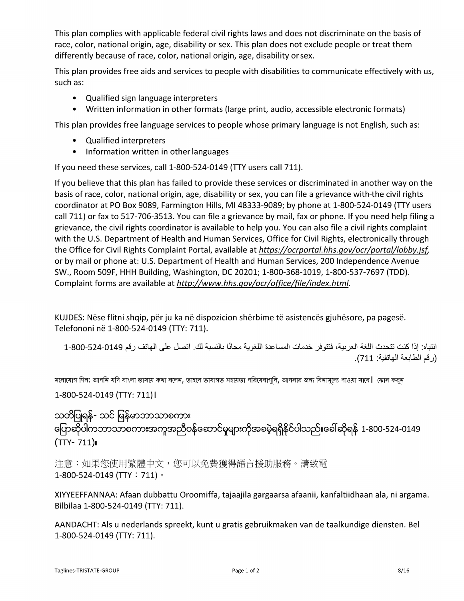This plan complies with applicable federal civil rights laws and does not discriminate on the basis of race, color, national origin, age, disability or sex. This plan does not exclude people or treat them differently because of race, color, national origin, age, disability or sex.

This plan provides free aids and services to people with disabilities to communicate effectively with us, such as:

- Qualified sign language interpreters
- Written information in other formats (large print, audio, accessible electronic formats)

This plan provides free language services to people whose primary language is not English, such as:

- Qualified interpreters
- Information written in other languages  $\bullet$

If you need these services, call 1-800-524-0149 (TTY users call 711).

If you believe that this plan has failed to provide these services or discriminated in another way on the basis of race, color, national origin, age, disability or sex, you can file a grievance with-the civil rights coordinator at PO Box 9089, Farmington Hills, MI 48333-9089; by phone at 1-800-524-0149 (TTY users call 711) or fax to 517-706-3513. You can file a grievance by mail, fax or phone. If you need help filing a grievance, the civil rights coordinator is available to help you. You can also file a civil rights complaint with the U.S. Department of Health and Human Services, Office for Civil Rights, electronically through the Office for Civil Rights Complaint Portal, available at https://ocrportal.hhs.gov/ocr/portal/lobby.jsf, or by mail or phone at: U.S. Department of Health and Human Services, 200 Independence Avenue SW., Room 509F, HHH Building, Washington, DC 20201; 1-800-368-1019, 1-800-537-7697 (TDD). Complaint forms are available at http://www.hhs.gov/ocr/office/file/index.html.

KUJDES: Nëse flitni shqip, për ju ka në dispozicion shërbime të asistencës gjuhësore, pa pagesë. Telefononi në 1-800-524-0149 (TTY: 711).

انتباه: إذا كنت تتحدث اللغة العربية، فتتوفر خدمات المساعدة اللغوية مجانًا بالنسبة لك. اتصل على الهاتف رقم 0149-524-800-1 (رقم الطابعة الهاتفية: 711).

মনোযোগ দিন: আপনি যদি বাংলা ভাষায় কথা বলেন, তাহলে ভাষাগত সহায়তা পরিষেবাগুলি, আপনার জন্য বিনামূল্যে পাওয়া যাবে। ফোন কর্ন

1-800-524-0149 (TTY: 711) |

သတိပြုရန်- သင် မြန်မာဘာသာစကား ကြောဆိုပါကဘာသာစကားအကူအညီဝန်ဆောင်မှုများကိုအခမဲ့ရရှိနိုင်ပါသည်။ခေါ်ဆိုရန် 1-800-524-0149  $(TTY-711)$ 

注意:如果您使用繁體中文,您可以免費獲得語言援助服務。請致電 1-800-524-0149 (TTY : 711)  $\circ$ 

XIYYEEFFANNAA: Afaan dubbattu Oroomiffa, tajaajila gargaarsa afaanii, kanfaltiidhaan ala, ni argama. Bilbilaa 1-800-524-0149 (TTY: 711).

AANDACHT: Als u nederlands spreekt, kunt u gratis gebruikmaken van de taalkundige diensten. Bel 1-800-524-0149 (TTY: 711).